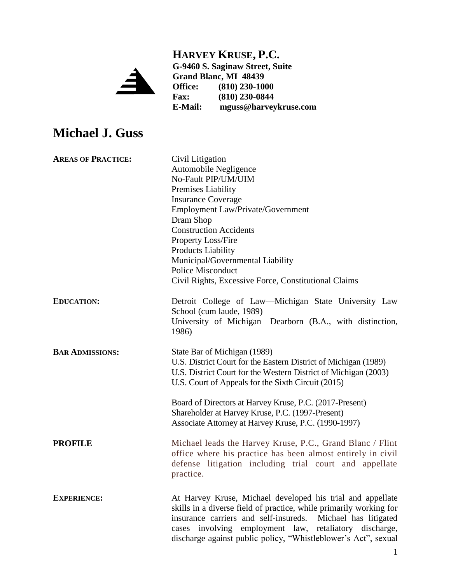## **HARVEY KRUSE, P.C.**



**G-9460 S. Saginaw Street, Suite Grand Blanc, MI 48439 Office: (810) 230-1000 Fax:** (810) 230-0844<br>**E-Mail:** mguss@harvey **E-Mail: mguss@harveykruse.com**

# **Michael J. Guss**

| <b>AREAS OF PRACTICE:</b> | Civil Litigation                                                   |
|---------------------------|--------------------------------------------------------------------|
|                           | Automobile Negligence                                              |
|                           | No-Fault PIP/UM/UIM                                                |
|                           | Premises Liability                                                 |
|                           | <b>Insurance Coverage</b>                                          |
|                           | Employment Law/Private/Government                                  |
|                           | Dram Shop                                                          |
|                           | <b>Construction Accidents</b>                                      |
|                           | Property Loss/Fire                                                 |
|                           | <b>Products Liability</b>                                          |
|                           | Municipal/Governmental Liability                                   |
|                           | <b>Police Misconduct</b>                                           |
|                           | Civil Rights, Excessive Force, Constitutional Claims               |
| <b>EDUCATION:</b>         | Detroit College of Law—Michigan State University Law               |
|                           | School (cum laude, 1989)                                           |
|                           | University of Michigan-Dearborn (B.A., with distinction,           |
|                           | 1986)                                                              |
| <b>BAR ADMISSIONS:</b>    | State Bar of Michigan (1989)                                       |
|                           | U.S. District Court for the Eastern District of Michigan (1989)    |
|                           | U.S. District Court for the Western District of Michigan (2003)    |
|                           | U.S. Court of Appeals for the Sixth Circuit (2015)                 |
|                           | Board of Directors at Harvey Kruse, P.C. (2017-Present)            |
|                           | Shareholder at Harvey Kruse, P.C. (1997-Present)                   |
|                           | Associate Attorney at Harvey Kruse, P.C. (1990-1997)               |
| <b>PROFILE</b>            | Michael leads the Harvey Kruse, P.C., Grand Blanc / Flint          |
|                           | office where his practice has been almost entirely in civil        |
|                           | defense litigation including trial court and appellate             |
|                           | practice.                                                          |
| <b>EXPERIENCE:</b>        | At Harvey Kruse, Michael developed his trial and appellate         |
|                           | skills in a diverse field of practice, while primarily working for |
|                           | insurance carriers and self-insureds. Michael has litigated        |
|                           | cases involving employment law, retaliatory discharge,             |
|                           | discharge against public policy, "Whistleblower's Act", sexual     |
|                           |                                                                    |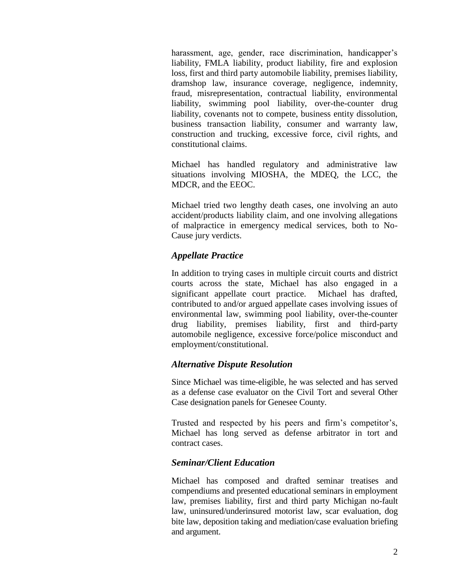harassment, age, gender, race discrimination, handicapper's liability, FMLA liability, product liability, fire and explosion loss, first and third party automobile liability, premises liability, dramshop law, insurance coverage, negligence, indemnity, fraud, misrepresentation, contractual liability, environmental liability, swimming pool liability, over-the-counter drug liability, covenants not to compete, business entity dissolution, business transaction liability, consumer and warranty law, construction and trucking, excessive force, civil rights, and constitutional claims.

Michael has handled regulatory and administrative law situations involving MIOSHA, the MDEQ, the LCC, the MDCR, and the EEOC.

Michael tried two lengthy death cases, one involving an auto accident/products liability claim, and one involving allegations of malpractice in emergency medical services, both to No-Cause jury verdicts.

### *Appellate Practice*

In addition to trying cases in multiple circuit courts and district courts across the state, Michael has also engaged in a significant appellate court practice. Michael has drafted, contributed to and/or argued appellate cases involving issues of environmental law, swimming pool liability, over-the-counter drug liability, premises liability, first and third-party automobile negligence, excessive force/police misconduct and employment/constitutional.

#### *Alternative Dispute Resolution*

Since Michael was time-eligible, he was selected and has served as a defense case evaluator on the Civil Tort and several Other Case designation panels for Genesee County.

Trusted and respected by his peers and firm's competitor's, Michael has long served as defense arbitrator in tort and contract cases.

#### *Seminar/Client Education*

Michael has composed and drafted seminar treatises and compendiums and presented educational seminars in employment law, premises liability, first and third party Michigan no-fault law, uninsured/underinsured motorist law, scar evaluation, dog bite law, deposition taking and mediation/case evaluation briefing and argument.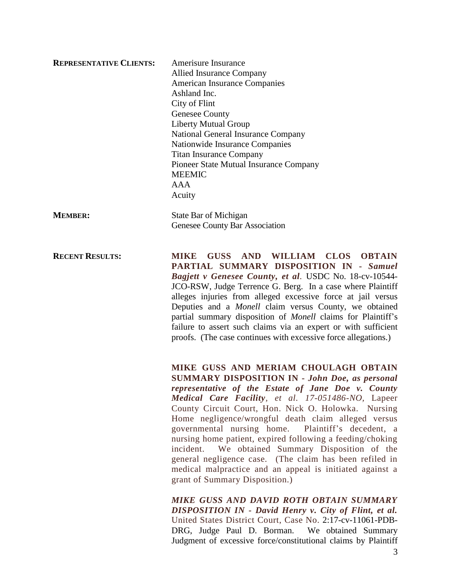| <b>REPRESENTATIVE CLIENTS:</b> | Amerisure Insurance                    |
|--------------------------------|----------------------------------------|
|                                | Allied Insurance Company               |
|                                | <b>American Insurance Companies</b>    |
|                                | Ashland Inc.                           |
|                                | City of Flint                          |
|                                | <b>Genesee County</b>                  |
|                                | <b>Liberty Mutual Group</b>            |
|                                | National General Insurance Company     |
|                                | Nationwide Insurance Companies         |
|                                | <b>Titan Insurance Company</b>         |
|                                | Pioneer State Mutual Insurance Company |
|                                | <b>MEEMIC</b>                          |
|                                | AAA                                    |
|                                | Acuity                                 |
| <b>MEMBER:</b>                 | State Bar of Michigan                  |
|                                | Genesee County Bar Association         |
|                                |                                        |

**RECENT RESULTS: MIKE GUSS AND WILLIAM CLOS OBTAIN PARTIAL SUMMARY DISPOSITION IN -** *Samuel Bagjett v Genesee County, et al.* USDC No. 18-cv-10544- JCO-RSW, Judge Terrence G. Berg. In a case where Plaintiff alleges injuries from alleged excessive force at jail versus Deputies and a *Monell* claim versus County, we obtained partial summary disposition of *Monell* claims for Plaintiff's failure to assert such claims via an expert or with sufficient proofs. (The case continues with excessive force allegations.)

> **MIKE GUSS AND MERIAM CHOULAGH OBTAIN SUMMARY DISPOSITION IN -** *John Doe, as personal representative of the Estate of Jane Doe v. County Medical Care Facility, et al. 17-051486-NO,* Lapeer County Circuit Court, Hon. Nick O. Holowka. Nursing Home negligence/wrongful death claim alleged versus governmental nursing home. Plaintiff's decedent, a nursing home patient, expired following a feeding/choking incident. We obtained Summary Disposition of the general negligence case. (The claim has been refiled in medical malpractice and an appeal is initiated against a grant of Summary Disposition.)

> *MIKE GUSS AND DAVID ROTH OBTAIN SUMMARY DISPOSITION IN - David Henry v. City of Flint, et al.* United States District Court, Case No. 2:17-cv-11061-PDB-DRG, Judge Paul D. Borman. We obtained Summary Judgment of excessive force/constitutional claims by Plaintiff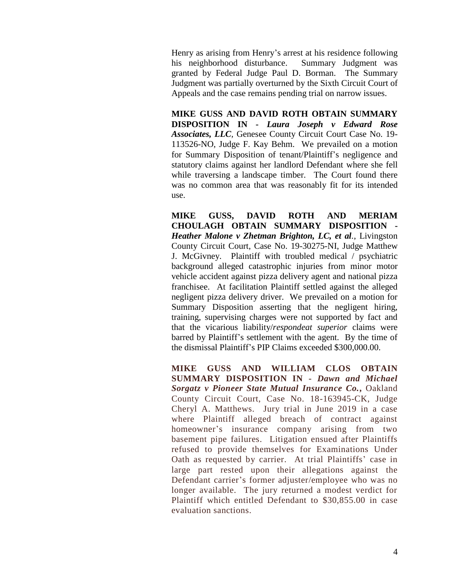Henry as arising from Henry's arrest at his residence following his neighborhood disturbance. Summary Judgment was granted by Federal Judge Paul D. Borman. The Summary Judgment was partially overturned by the Sixth Circuit Court of Appeals and the case remains pending trial on narrow issues.

**MIKE GUSS AND DAVID ROTH OBTAIN SUMMARY DISPOSITION IN -** *Laura Joseph v Edward Rose Associates, LLC,* Genesee County Circuit Court Case No. 19- 113526-NO, Judge F. Kay Behm. We prevailed on a motion for Summary Disposition of tenant/Plaintiff's negligence and statutory claims against her landlord Defendant where she fell while traversing a landscape timber. The Court found there was no common area that was reasonably fit for its intended use.

**MIKE GUSS, DAVID ROTH AND MERIAM CHOULAGH OBTAIN SUMMARY DISPOSITION -** *Heather Malone v Zhetman Brighton, LC, et al.*, Livingston County Circuit Court, Case No. 19-30275-NI, Judge Matthew J. McGivney. Plaintiff with troubled medical / psychiatric background alleged catastrophic injuries from minor motor vehicle accident against pizza delivery agent and national pizza franchisee. At facilitation Plaintiff settled against the alleged negligent pizza delivery driver. We prevailed on a motion for Summary Disposition asserting that the negligent hiring, training, supervising charges were not supported by fact and that the vicarious liability/*respondeat superior* claims were barred by Plaintiff's settlement with the agent. By the time of the dismissal Plaintiff's PIP Claims exceeded \$300,000.00.

**MIKE GUSS AND WILLIAM CLOS OBTAIN SUMMARY DISPOSITION IN -** *Dawn and Michael Sorgatz v Pioneer State Mutual Insurance Co.***,** Oakland County Circuit Court, Case No. 18-163945-CK, Judge Cheryl A. Matthews. Jury trial in June 2019 in a case where Plaintiff alleged breach of contract against homeowner's insurance company arising from two basement pipe failures. Litigation ensued after Plaintiffs refused to provide themselves for Examinations Under Oath as requested by carrier. At trial Plaintiffs' case in large part rested upon their allegations against the Defendant carrier's former adjuster/employee who was no longer available. The jury returned a modest verdict for Plaintiff which entitled Defendant to \$30,855.00 in case evaluation sanctions.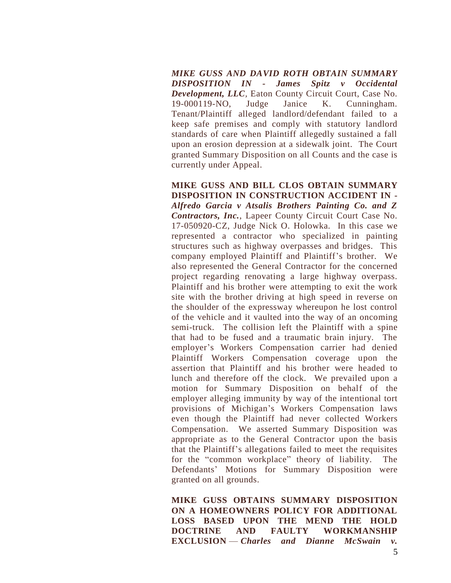*MIKE GUSS AND DAVID ROTH OBTAIN SUMMARY DISPOSITION IN - James Spitz v Occidental Development, LLC,* Eaton County Circuit Court, Case No. 19-000119-NO, Judge Janice K. Cunningham. Tenant/Plaintiff alleged landlord/defendant failed to a keep safe premises and comply with statutory landlord standards of care when Plaintiff allegedly sustained a fall upon an erosion depression at a sidewalk joint. The Court granted Summary Disposition on all Counts and the case is currently under Appeal.

**MIKE GUSS AND BILL CLOS OBTAIN SUMMARY DISPOSITION IN CONSTRUCTION ACCIDENT IN -** *Alfredo Garcia v Atsalis Brothers Painting Co. and Z Contractors, Inc.*, Lapeer County Circuit Court Case No. 17-050920-CZ, Judge Nick O. Holowka. In this case we represented a contractor who specialized in painting structures such as highway overpasses and bridges. This company employed Plaintiff and Plaintiff's brother. We also represented the General Contractor for the concerned project regarding renovating a large highway overpass. Plaintiff and his brother were attempting to exit the work site with the brother driving at high speed in reverse on the shoulder of the expressway whereupon he lost control of the vehicle and it vaulted into the way of an oncoming semi-truck. The collision left the Plaintiff with a spine that had to be fused and a traumatic brain injury. The employer's Workers Compensation carrier had denied Plaintiff Workers Compensation coverage upon the assertion that Plaintiff and his brother were headed to lunch and therefore off the clock. We prevailed upon a motion for Summary Disposition on behalf of the employer alleging immunity by way of the intentional tort provisions of Michigan's Workers Compensation laws even though the Plaintiff had never collected Workers Compensation. We asserted Summary Disposition was appropriate as to the General Contractor upon the basis that the Plaintiff's allegations failed to meet the requisites for the "common workplace" theory of liability. The Defendants' Motions for Summary Disposition were granted on all grounds.

 **MIKE GUSS OBTAINS SUMMARY DISPOSITION ON A HOMEOWNERS POLICY FOR ADDITIONAL LOSS BASED UPON THE MEND THE HOLD DOCTRINE AND FAULTY WORKMANSHIP EXCLUSION** — *Charles and Dianne McSwain v.*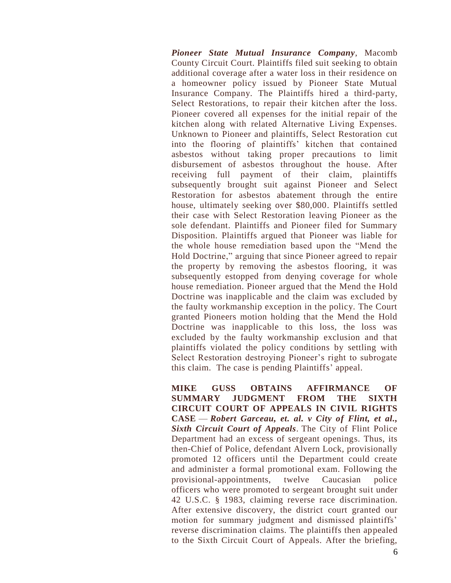*Pioneer State Mutual Insurance Company*, Macomb County Circuit Court. Plaintiffs filed suit seeking to obtain additional coverage after a water loss in their residence on a homeowner policy issued by Pioneer State Mutual Insurance Company. The Plaintiffs hired a third-party, Select Restorations, to repair their kitchen after the loss. Pioneer covered all expenses for the initial repair of the kitchen along with related Alternative Living Expenses. Unknown to Pioneer and plaintiffs, Select Restoration cut into the flooring of plaintiffs' kitchen that contained asbestos without taking proper precautions to limit disbursement of asbestos throughout the house. After receiving full payment of their claim, plaintiffs subsequently brought suit against Pioneer and Select Restoration for asbestos abatement through the entire house, ultimately seeking over \$80,000. Plaintiffs settled their case with Select Restoration leaving Pioneer as the sole defendant. Plaintiffs and Pioneer filed for Summary Disposition. Plaintiffs argued that Pioneer was liable for the whole house remediation based upon the "Mend the Hold Doctrine," arguing that since Pioneer agreed to repair the property by removing the asbestos flooring, it was subsequently estopped from denying coverage for whole house remediation. Pioneer argued that the Mend the Hold Doctrine was inapplicable and the claim was excluded by the faulty workmanship exception in the policy. The Court granted Pioneers motion holding that the Mend the Hold Doctrine was inapplicable to this loss, the loss was excluded by the faulty workmanship exclusion and that plaintiffs violated the policy conditions by settling with Select Restoration destroying Pioneer's right to subrogate this claim. The case is pending Plaintiffs' appeal.

 **MIKE GUSS OBTAINS AFFIRMANCE OF SUMMARY JUDGMENT FROM THE SIXTH CIRCUIT COURT OF APPEALS IN CIVIL RIGHTS CASE** — *Robert Garceau, et. al. v City of Flint, et al., Sixth Circuit Court of Appeals.* The City of Flint Police Department had an excess of sergeant openings. Thus, its then-Chief of Police, defendant Alvern Lock, provisionally promoted 12 officers until the Department could create and administer a formal promotional exam. Following the provisional-appointments, twelve Caucasian police officers who were promoted to sergeant brought suit under 42 U.S.C. § 1983, claiming reverse race discrimination. After extensive discovery, the district court granted our motion for summary judgment and dismissed plaintiffs' reverse discrimination claims. The plaintiffs then appealed to the Sixth Circuit Court of Appeals. After the briefing,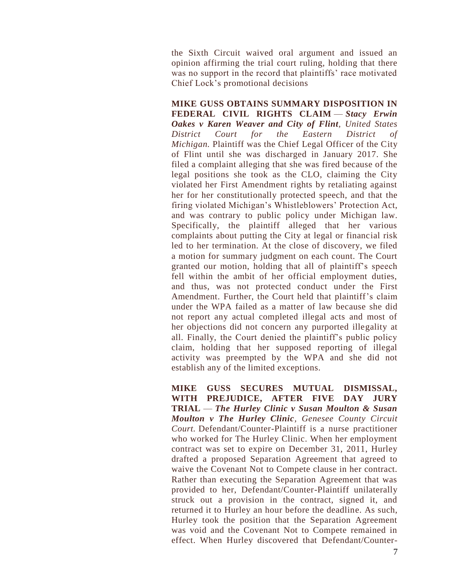the Sixth Circuit waived oral argument and issued an opinion affirming the trial court ruling, holding that there was no support in the record that plaintiffs' race motivated Chief Lock's promotional decisions

 **MIKE GUSS OBTAINS SUMMARY DISPOSITION IN FEDERAL CIVIL RIGHTS CLAIM** — *Stacy Erwin Oakes v Karen Weaver and City of Flint, United States District Court for the Eastern District of Michigan.* Plaintiff was the Chief Legal Officer of the City of Flint until she was discharged in January 2017. She filed a complaint alleging that she was fired because of the legal positions she took as the CLO, claiming the City violated her First Amendment rights by retaliating against her for her constitutionally protected speech, and that the firing violated Michigan's Whistleblowers' Protection Act, and was contrary to public policy under Michigan law. Specifically, the plaintiff alleged that her various complaints about putting the City at legal or financial risk led to her termination. At the close of discovery, we filed a motion for summary judgment on each count. The Court granted our motion, holding that all of plaintiff's speech fell within the ambit of her official employment duties, and thus, was not protected conduct under the First Amendment. Further, the Court held that plaintiff's claim under the WPA failed as a matter of law because she did not report any actual completed illegal acts and most of her objections did not concern any purported illegality at all. Finally, the Court denied the plaintiff's public policy claim, holding that her supposed reporting of illegal activity was preempted by the WPA and she did not establish any of the limited exceptions.

 **MIKE GUSS SECURES MUTUAL DISMISSAL, WITH PREJUDICE, AFTER FIVE DAY JURY TRIAL** — *The Hurley Clinic v Susan Moulton & Susan Moulton v The Hurley Clinic, Genesee County Circuit Court.* Defendant/Counter-Plaintiff is a nurse practitioner who worked for The Hurley Clinic. When her employment contract was set to expire on December 31, 2011, Hurley drafted a proposed Separation Agreement that agreed to waive the Covenant Not to Compete clause in her contract. Rather than executing the Separation Agreement that was provided to her, Defendant/Counter-Plaintiff unilaterally struck out a provision in the contract, signed it, and returned it to Hurley an hour before the deadline. As such, Hurley took the position that the Separation Agreement was void and the Covenant Not to Compete remained in effect. When Hurley discovered that Defendant/Counter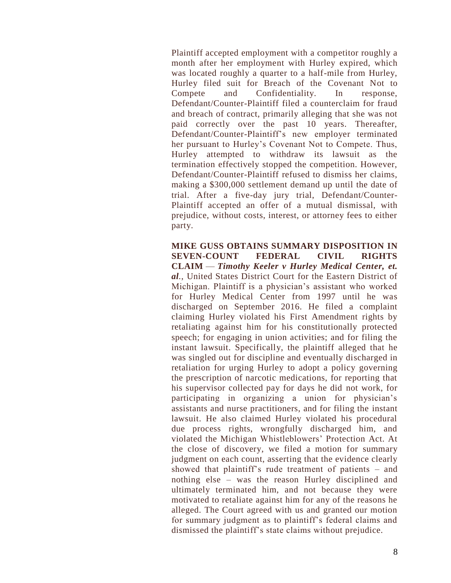Plaintiff accepted employment with a competitor roughly a month after her employment with Hurley expired, which was located roughly a quarter to a half-mile from Hurley, Hurley filed suit for Breach of the Covenant Not to Compete and Confidentiality. In response, Defendant/Counter-Plaintiff filed a counterclaim for fraud and breach of contract, primarily alleging that she was not paid correctly over the past 10 years. Thereafter, Defendant/Counter-Plaintiff's new employer terminated her pursuant to Hurley's Covenant Not to Compete. Thus, Hurley attempted to withdraw its lawsuit as the termination effectively stopped the competition. However, Defendant/Counter-Plaintiff refused to dismiss her claims, making a \$300,000 settlement demand up until the date of trial. After a five-day jury trial, Defendant/Counter-Plaintiff accepted an offer of a mutual dismissal, with prejudice, without costs, interest, or attorney fees to either party.

 **MIKE GUSS OBTAINS SUMMARY DISPOSITION IN SEVEN-COUNT FEDERAL CIVIL RIGHTS CLAIM** — *Timothy Keeler v Hurley Medical Center, et. al.*, United States District Court for the Eastern District of Michigan. Plaintiff is a physician's assistant who worked for Hurley Medical Center from 1997 until he was discharged on September 2016. He filed a complaint claiming Hurley violated his First Amendment rights by retaliating against him for his constitutionally protected speech; for engaging in union activities; and for filing the instant lawsuit. Specifically, the plaintiff alleged that he was singled out for discipline and eventually discharged in retaliation for urging Hurley to adopt a policy governing the prescription of narcotic medications, for reporting that his supervisor collected pay for days he did not work, for participating in organizing a union for physician's assistants and nurse practitioners, and for filing the instant lawsuit. He also claimed Hurley violated his procedural due process rights, wrongfully discharged him, and violated the Michigan Whistleblowers' Protection Act. At the close of discovery, we filed a motion for summary judgment on each count, asserting that the evidence clearly showed that plaintiff's rude treatment of patients – and nothing else – was the reason Hurley disciplined and ultimately terminated him, and not because they were motivated to retaliate against him for any of the reasons he alleged. The Court agreed with us and granted our motion for summary judgment as to plaintiff's federal claims and dismissed the plaintiff's state claims without prejudice.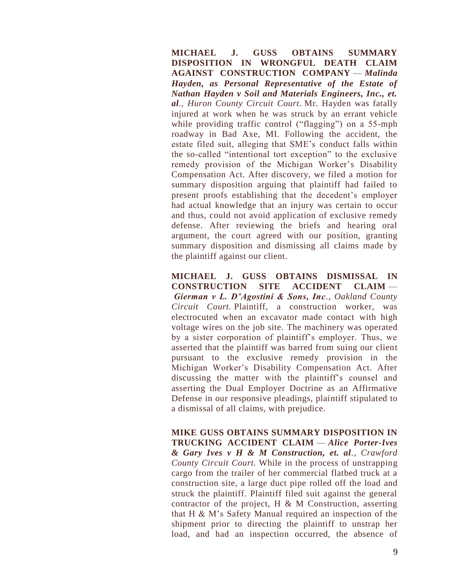**MICHAEL J. GUSS OBTAINS SUMMARY DISPOSITION IN WRONGFUL DEATH CLAIM AGAINST CONSTRUCTION COMPANY** — *Malinda Hayden, as Personal Representative of the Estate of Nathan Hayden v Soil and Materials Engineers, Inc., et. al., Huron County Circuit Court.* Mr. Hayden was fatally injured at work when he was struck by an errant vehicle while providing traffic control ("flagging") on a 55-mph roadway in Bad Axe, MI. Following the accident, the estate filed suit, alleging that SME's conduct falls within the so-called "intentional tort exception" to the exclusive remedy provision of the Michigan Worker's Disability Compensation Act. After discovery, we filed a motion for summary disposition arguing that plaintiff had failed to present proofs establishing that the decedent's employer had actual knowledge that an injury was certain to occur and thus, could not avoid application of exclusive remedy defense. After reviewing the briefs and hearing oral argument, the court agreed with our position, granting summary disposition and dismissing all claims made by the plaintiff against our client.

**MICHAEL J. GUSS OBTAINS DISMISSAL IN CONSTRUCTION SITE ACCIDENT CLAIM** — *Gierman v L. D'Agostini & Sons, Inc., Oakland County Circuit Court.* Plaintiff, a construction worker, was electrocuted when an excavator made contact with high voltage wires on the job site. The machinery was operated by a sister corporation of plaintiff's employer. Thus, we asserted that the plaintiff was barred from suing our client pursuant to the exclusive remedy provision in the Michigan Worker's Disability Compensation Act. After discussing the matter with the plaintiff's counsel and asserting the Dual Employer Doctrine as an Affirmative Defense in our responsive pleadings, plaintiff stipulated to a dismissal of all claims, with prejudice.

 **MIKE GUSS OBTAINS SUMMARY DISPOSITION IN TRUCKING ACCIDENT CLAIM** — *Alice Porter-Ives & Gary Ives v H & M Construction, et. al., Crawford County Circuit Court.* While in the process of unstrapping cargo from the trailer of her commercial flatbed truck at a construction site, a large duct pipe rolled off the load and struck the plaintiff. Plaintiff filed suit against the general contractor of the project,  $H \& M$  Construction, asserting that H & M's Safety Manual required an inspection of the shipment prior to directing the plaintiff to unstrap her load, and had an inspection occurred, the absence of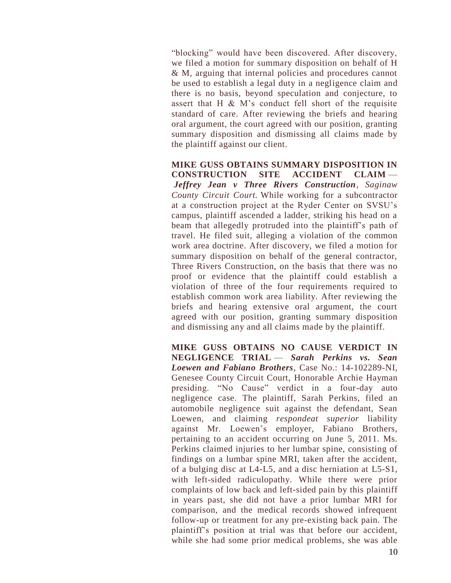"blocking" would have been discovered. After discovery, we filed a motion for summary disposition on behalf of H & M, arguing that internal policies and procedures cannot be used to establish a legal duty in a negligence claim and there is no basis, beyond speculation and conjecture, to assert that H & M's conduct fell short of the requisite standard of care. After reviewing the briefs and hearing oral argument, the court agreed with our position, granting summary disposition and dismissing all claims made by the plaintiff against our client.

 **MIKE GUSS OBTAINS SUMMARY DISPOSITION IN CONSTRUCTION SITE ACCIDENT CLAIM** — *Jeffrey Jean v Three Rivers Construction, Saginaw County Circuit Court.* While working for a subcontractor at a construction project at the Ryder Center on SVSU's campus, plaintiff ascended a ladder, striking his head on a beam that allegedly protruded into the plaintiff's path of travel. He filed suit, alleging a violation of the common work area doctrine. After discovery, we filed a motion for summary disposition on behalf of the general contractor, Three Rivers Construction, on the basis that there was no proof or evidence that the plaintiff could establish a violation of three of the four requirements required to establish common work area liability. After reviewing the briefs and hearing extensive oral argument, the court agreed with our position, granting summary disposition and dismissing any and all claims made by the plaintiff.

 **MIKE GUSS OBTAINS NO CAUSE VERDICT IN NEGLIGENCE TRIAL** — *Sarah Perkins vs. Sean Loewen and Fabiano Brothers*, Case No.: 14-102289-NI, Genesee County Circuit Court, Honorable Archie Hayman presiding. "No Cause" verdict in a four-day auto negligence case. The plaintiff, Sarah Perkins, filed an automobile negligence suit against the defendant, Sean Loewen, and claiming *respondeat superior* liability against Mr. Loewen's employer, Fabiano Brothers, pertaining to an accident occurring on June 5, 2011. Ms. Perkins claimed injuries to her lumbar spine, consisting of findings on a lumbar spine MRI, taken after the accident, of a bulging disc at L4-L5, and a disc herniation at L5-S1, with left-sided radiculopathy. While there were prior complaints of low back and left-sided pain by this plaintiff in years past, she did not have a prior lumbar MRI for comparison, and the medical records showed infrequent follow-up or treatment for any pre-existing back pain. The plaintiff's position at trial was that before our accident, while she had some prior medical problems, she was able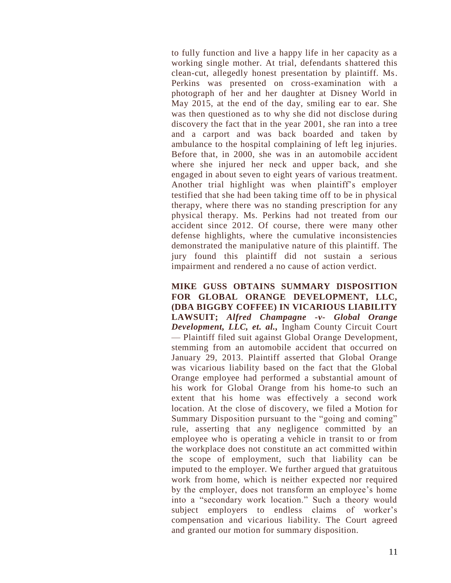to fully function and live a happy life in her capacity as a working single mother. At trial, defendants shattered this clean-cut, allegedly honest presentation by plaintiff. Ms. Perkins was presented on cross-examination with a photograph of her and her daughter at Disney World in May 2015, at the end of the day, smiling ear to ear. She was then questioned as to why she did not disclose during discovery the fact that in the year 2001, she ran into a tree and a carport and was back boarded and taken by ambulance to the hospital complaining of left leg injuries. Before that, in 2000, she was in an automobile accident where she injured her neck and upper back, and she engaged in about seven to eight years of various treatment. Another trial highlight was when plaintiff's employer testified that she had been taking time off to be in physical therapy, where there was no standing prescription for any physical therapy. Ms. Perkins had not treated from our accident since 2012. Of course, there were many other defense highlights, where the cumulative inconsistencies demonstrated the manipulative nature of this plaintiff. The jury found this plaintiff did not sustain a serious impairment and rendered a no cause of action verdict.

#### **MIKE GUSS OBTAINS SUMMARY DISPOSITION FOR GLOBAL ORANGE DEVELOPMENT, LLC, (DBA BIGGBY COFFEE) IN VICARIOUS LIABILITY LAWSUIT;** *Alfred Champagne -v- Global Orange Development, LLC, et. al.,* Ingham County Circuit Court — Plaintiff filed suit against Global Orange Development, stemming from an automobile accident that occurred on January 29, 2013. Plaintiff asserted that Global Orange was vicarious liability based on the fact that the Global Orange employee had performed a substantial amount of his work for Global Orange from his home-to such an extent that his home was effectively a second work location. At the close of discovery, we filed a Motion for Summary Disposition pursuant to the "going and coming" rule, asserting that any negligence committed by an employee who is operating a vehicle in transit to or from the workplace does not constitute an act committed within the scope of employment, such that liability can be imputed to the employer. We further argued that gratuitous work from home, which is neither expected nor required by the employer, does not transform an employee's home into a "secondary work location." Such a theory would subject employers to endless claims of worker's compensation and vicarious liability. The Court agreed and granted our motion for summary disposition.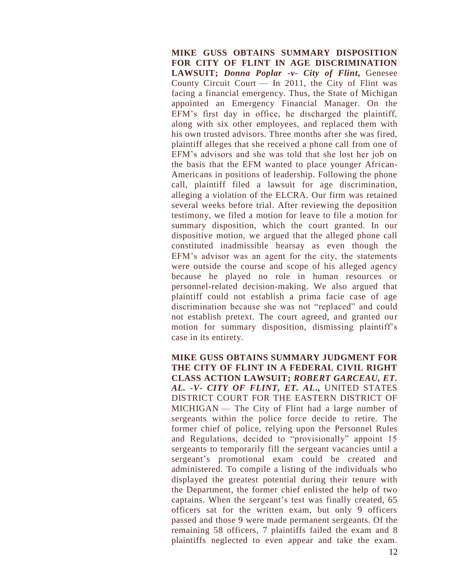**MIKE GUSS OBTAINS SUMMARY DISPOSITION FOR CITY OF FLINT IN AGE DISCRIMINATION LAWSUIT;** *Donna Poplar -v- City of Flint***,** Genesee County Circuit Court  $-$  In 2011, the City of Flint was facing a financial emergency. Thus, the State of Michigan appointed an Emergency Financial Manager. On the EFM's first day in office, he discharged the plaintiff, along with six other employees, and replaced them with his own trusted advisors. Three months after she was fired, plaintiff alleges that she received a phone call from one of EFM's advisors and she was told that she lost her job on the basis that the EFM wanted to place younger African-Americans in positions of leadership. Following the phone call, plaintiff filed a lawsuit for age discrimination, alleging a violation of the ELCRA. Our firm was retained several weeks before trial. After reviewing the deposition testimony, we filed a motion for leave to file a motion for summary disposition, which the court granted. In our dispositive motion, we argued that the alleged phone call constituted inadmissible hearsay as even though the EFM's advisor was an agent for the city, the statements were outside the course and scope of his alleged agency because he played no role in human resources or personnel-related decision-making. We also argued that plaintiff could not establish a prima facie case of age discrimination because she was not "replaced" and could not establish pretext. The court agreed, and granted our motion for summary disposition, dismissing plaintiff's case in its entirety.

 **MIKE GUSS OBTAINS SUMMARY JUDGMENT FOR THE CITY OF FLINT IN A FEDERAL CIVIL RIGHT CLASS ACTION LAWSUIT;** *ROBERT GARCEAU, ET. AL. -V- CITY OF FLINT, ET. AL***.,** UNITED STATES DISTRICT COURT FOR THE EASTERN DISTRICT OF MICHIGAN — The City of Flint had a large number of sergeants within the police force decide to retire. The former chief of police, relying upon the Personnel Rules and Regulations, decided to "provisionally" appoint 15 sergeants to temporarily fill the sergeant vacancies until a sergeant's promotional exam could be created and administered. To compile a listing of the individuals who displayed the greatest potential during their tenure with the Department, the former chief enlisted the help of two captains. When the sergeant's test was finally created, 65 officers sat for the written exam, but only 9 officers passed and those 9 were made permanent sergeants. Of the remaining 58 officers, 7 plaintiffs failed the exam and 8 plaintiffs neglected to even appear and take the exam.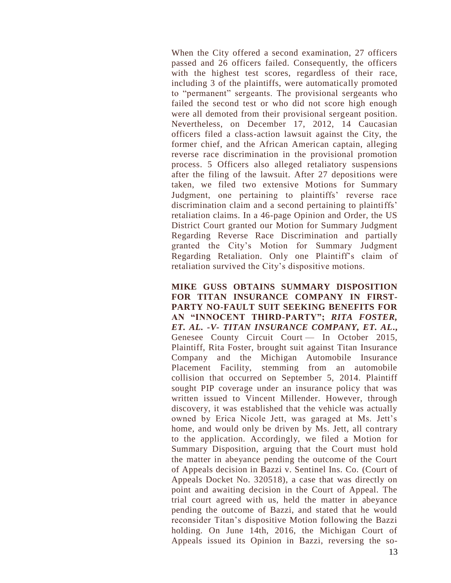When the City offered a second examination, 27 officers passed and 26 officers failed. Consequently, the officers with the highest test scores, regardless of their race, including 3 of the plaintiffs, were automatically promoted to "permanent" sergeants. The provisional sergeants who failed the second test or who did not score high enough were all demoted from their provisional sergeant position. Nevertheless, on December 17, 2012, 14 Caucasian officers filed a class-action lawsuit against the City, the former chief, and the African American captain, alleging reverse race discrimination in the provisional promotion process. 5 Officers also alleged retaliatory suspensions after the filing of the lawsuit. After 27 depositions were taken, we filed two extensive Motions for Summary Judgment, one pertaining to plaintiffs' reverse race discrimination claim and a second pertaining to plaintiffs' retaliation claims. In a 46-page Opinion and Order, the US District Court granted our Motion for Summary Judgment Regarding Reverse Race Discrimination and partially granted the City's Motion for Summary Judgment Regarding Retaliation. Only one Plaintiff's claim of retaliation survived the City's dispositive motions.

#### **MIKE GUSS OBTAINS SUMMARY DISPOSITION FOR TITAN INSURANCE COMPANY IN FIRST-PARTY NO-FAULT SUIT SEEKING BENEFITS FOR AN "INNOCENT THIRD-PARTY";** *RITA FOSTER, ET. AL. -V- TITAN INSURANCE COMPANY, ET. AL***.,**  Genesee County Circuit Court — In October 2015, Plaintiff, Rita Foster, brought suit against Titan Insurance Company and the Michigan Automobile Insurance Placement Facility, stemming from an automobile collision that occurred on September 5, 2014. Plaintiff sought PIP coverage under an insurance policy that was written issued to Vincent Millender. However, through discovery, it was established that the vehicle was actually owned by Erica Nicole Jett, was garaged at Ms. Jett's home, and would only be driven by Ms. Jett, all contrary to the application. Accordingly, we filed a Motion for Summary Disposition, arguing that the Court must hold the matter in abeyance pending the outcome of the Court of Appeals decision in Bazzi v. Sentinel Ins. Co. (Court of Appeals Docket No. 320518), a case that was directly on point and awaiting decision in the Court of Appeal. The trial court agreed with us, held the matter in abeyance pending the outcome of Bazzi, and stated that he would reconsider Titan's dispositive Motion following the Bazzi holding. On June 14th, 2016, the Michigan Court of Appeals issued its Opinion in Bazzi, reversing the so-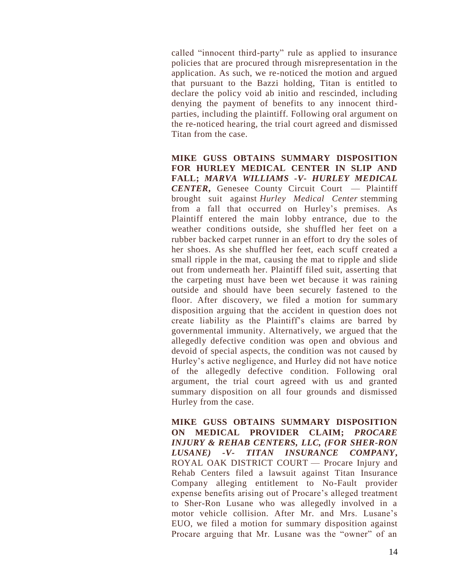called "innocent third-party" rule as applied to insurance policies that are procured through misrepresentation in the application. As such, we re-noticed the motion and argued that pursuant to the Bazzi holding, Titan is entitled to declare the policy void ab initio and rescinded, including denying the payment of benefits to any innocent thirdparties, including the plaintiff. Following oral argument on the re-noticed hearing, the trial court agreed and dismissed Titan from the case.

 **MIKE GUSS OBTAINS SUMMARY DISPOSITION FOR HURLEY MEDICAL CENTER IN SLIP AND FALL;** *MARVA WILLIAMS -V- HURLEY MEDICAL CENTER***,** Genesee County Circuit Court — Plaintiff brought suit against *Hurley Medical Center* stemming from a fall that occurred on Hurley's premises. As Plaintiff entered the main lobby entrance, due to the weather conditions outside, she shuffled her feet on a rubber backed carpet runner in an effort to dry the soles of her shoes. As she shuffled her feet, each scuff created a small ripple in the mat, causing the mat to ripple and slide out from underneath her. Plaintiff filed suit, asserting that the carpeting must have been wet because it was raining outside and should have been securely fastened to the floor. After discovery, we filed a motion for summary disposition arguing that the accident in question does not create liability as the Plaintiff's claims are barred by governmental immunity. Alternatively, we argued that the allegedly defective condition was open and obvious and devoid of special aspects, the condition was not caused by Hurley's active negligence, and Hurley did not have notice of the allegedly defective condition. Following oral argument, the trial court agreed with us and granted summary disposition on all four grounds and dismissed Hurley from the case.

 **MIKE GUSS OBTAINS SUMMARY DISPOSITION ON MEDICAL PROVIDER CLAIM;** *PROCARE INJURY & REHAB CENTERS, LLC, (FOR SHER-RON LUSANE) -V- TITAN INSURANCE COMPANY***,**  ROYAL OAK DISTRICT COURT — Procare Injury and Rehab Centers filed a lawsuit against Titan Insurance Company alleging entitlement to No-Fault provider expense benefits arising out of Procare's alleged treatment to Sher-Ron Lusane who was allegedly involved in a motor vehicle collision. After Mr. and Mrs. Lusane's EUO, we filed a motion for summary disposition against Procare arguing that Mr. Lusane was the "owner" of an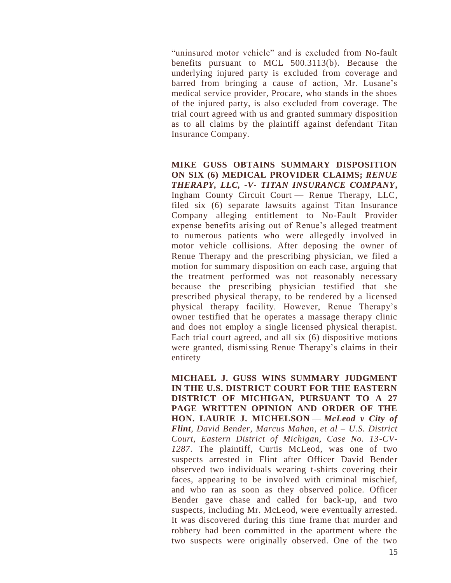"uninsured motor vehicle" and is excluded from No-fault benefits pursuant to MCL 500.3113(b). Because the underlying injured party is excluded from coverage and barred from bringing a cause of action, Mr. Lusane's medical service provider, Procare, who stands in the shoes of the injured party, is also excluded from coverage. The trial court agreed with us and granted summary disposition as to all claims by the plaintiff against defendant Titan Insurance Company.

 **MIKE GUSS OBTAINS SUMMARY DISPOSITION ON SIX (6) MEDICAL PROVIDER CLAIMS;** *RENUE THERAPY, LLC, -V- TITAN INSURANCE COMPANY***,**  Ingham County Circuit Court — Renue Therapy, LLC, filed six (6) separate lawsuits against Titan Insurance Company alleging entitlement to No-Fault Provider expense benefits arising out of Renue's alleged treatment to numerous patients who were allegedly involved in motor vehicle collisions. After deposing the owner of Renue Therapy and the prescribing physician, we filed a motion for summary disposition on each case, arguing that the treatment performed was not reasonably necessary because the prescribing physician testified that she prescribed physical therapy, to be rendered by a licensed physical therapy facility. However, Renue Therapy's owner testified that he operates a massage therapy clinic and does not employ a single licensed physical therapist. Each trial court agreed, and all six (6) dispositive motions were granted, dismissing Renue Therapy's claims in their entirety

**MICHAEL J. GUSS WINS SUMMARY JUDGMENT IN THE U.S. DISTRICT COURT FOR THE EASTERN DISTRICT OF MICHIGAN, PURSUANT TO A 27 PAGE WRITTEN OPINION AND ORDER OF THE HON. LAURIE J. MICHELSON** — *McLeod v City of Flint, David Bender, Marcus Mahan, et al – U.S. District Court, Eastern District of Michigan, Case No. 13-CV-1287*. The plaintiff, Curtis McLeod, was one of two suspects arrested in Flint after Officer David Bender observed two individuals wearing t-shirts covering their faces, appearing to be involved with criminal mischief, and who ran as soon as they observed police. Officer Bender gave chase and called for back-up, and two suspects, including Mr. McLeod, were eventually arrested. It was discovered during this time frame that murder and robbery had been committed in the apartment where the two suspects were originally observed. One of the two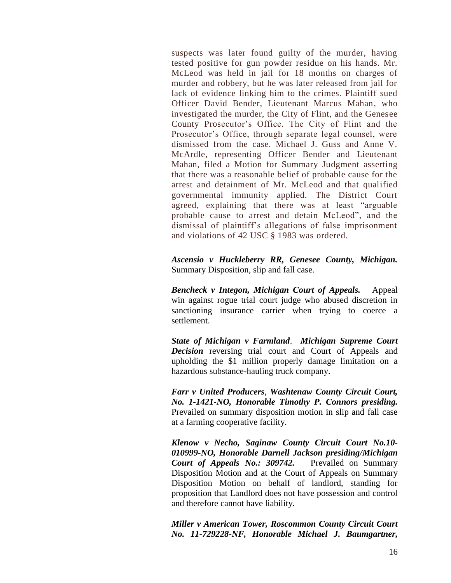suspects was later found guilty of the murder, having tested positive for gun powder residue on his hands. Mr. McLeod was held in jail for 18 months on charges of murder and robbery, but he was later released from jail for lack of evidence linking him to the crimes. Plaintiff sued Officer David Bender, Lieutenant Marcus Mahan, who investigated the murder, the City of Flint, and the Genesee County Prosecutor's Office. The City of Flint and the Prosecutor's Office, through separate legal counsel, were dismissed from the case. Michael J. Guss and Anne V. McArdle, representing Officer Bender and Lieutenant Mahan, filed a Motion for Summary Judgment asserting that there was a reasonable belief of probable cause for the arrest and detainment of Mr. McLeod and that qualified governmental immunity applied. The District Court agreed, explaining that there was at least "arguable probable cause to arrest and detain McLeod", and the dismissal of plaintiff's allegations of false imprisonment and violations of 42 USC § 1983 was ordered.

*Ascensio v Huckleberry RR, Genesee County, Michigan.*  Summary Disposition, slip and fall case.

*Bencheck v Integon, Michigan Court of Appeals.* Appeal win against rogue trial court judge who abused discretion in sanctioning insurance carrier when trying to coerce a settlement.

*State of Michigan v Farmland*. *Michigan Supreme Court Decision* reversing trial court and Court of Appeals and upholding the \$1 million properly damage limitation on a hazardous substance-hauling truck company.

*Farr v United Producers*, *Washtenaw County Circuit Court, No. 1-1421-NO, Honorable Timothy P. Connors presiding.* Prevailed on summary disposition motion in slip and fall case at a farming cooperative facility.

*Klenow v Necho, Saginaw County Circuit Court No.10- 010999-NO, Honorable Darnell Jackson presiding/Michigan Court of Appeals No.: 309742.* Prevailed on Summary Disposition Motion and at the Court of Appeals on Summary Disposition Motion on behalf of landlord, standing for proposition that Landlord does not have possession and control and therefore cannot have liability.

*Miller v American Tower, Roscommon County Circuit Court No. 11-729228-NF, Honorable Michael J. Baumgartner,*